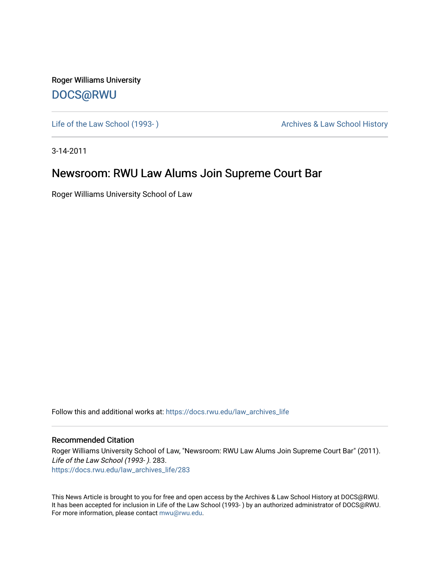Roger Williams University [DOCS@RWU](https://docs.rwu.edu/)

Life of the Law School (1993-) **Archives & Law School History** Archives & Law School History

3-14-2011

## Newsroom: RWU Law Alums Join Supreme Court Bar

Roger Williams University School of Law

Follow this and additional works at: [https://docs.rwu.edu/law\\_archives\\_life](https://docs.rwu.edu/law_archives_life?utm_source=docs.rwu.edu%2Flaw_archives_life%2F283&utm_medium=PDF&utm_campaign=PDFCoverPages)

## Recommended Citation

Roger Williams University School of Law, "Newsroom: RWU Law Alums Join Supreme Court Bar" (2011). Life of the Law School (1993- ). 283. [https://docs.rwu.edu/law\\_archives\\_life/283](https://docs.rwu.edu/law_archives_life/283?utm_source=docs.rwu.edu%2Flaw_archives_life%2F283&utm_medium=PDF&utm_campaign=PDFCoverPages)

This News Article is brought to you for free and open access by the Archives & Law School History at DOCS@RWU. It has been accepted for inclusion in Life of the Law School (1993- ) by an authorized administrator of DOCS@RWU. For more information, please contact [mwu@rwu.edu](mailto:mwu@rwu.edu).